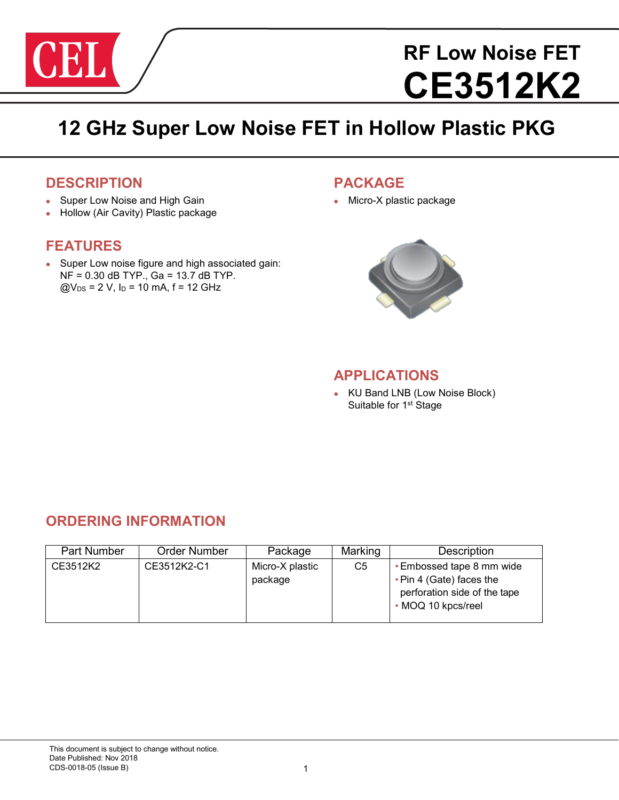

# **RF Low Noise FET CE3512K2**

# **12 GHz Super Low Noise FET in Hollow Plastic PKG**

## **DESCRIPTION**

- Super Low Noise and High Gain
- Hollow (Air Cavity) Plastic package

# **FEATURES**

 Super Low noise figure and high associated gain:  $NF = 0.30$  dB TYP., Ga = 13.7 dB TYP.  $@V_{DS} = 2 V, I_D = 10$  mA,  $f = 12$  GHz

# **PACKAGE**

Micro-X plastic package



## **APPLICATIONS**

• KU Band LNB (Low Noise Block) Suitable for 1<sup>st</sup> Stage

# **ORDERING INFORMATION**

| <b>Part Number</b> | <b>Order Number</b> | Package                    | Marking | Description                                                                                                 |
|--------------------|---------------------|----------------------------|---------|-------------------------------------------------------------------------------------------------------------|
| CE3512K2           | CE3512K2-C1         | Micro-X plastic<br>package | C5      | • Embossed tape 8 mm wide<br>• Pin 4 (Gate) faces the<br>perforation side of the tape<br>• MOQ 10 kpcs/reel |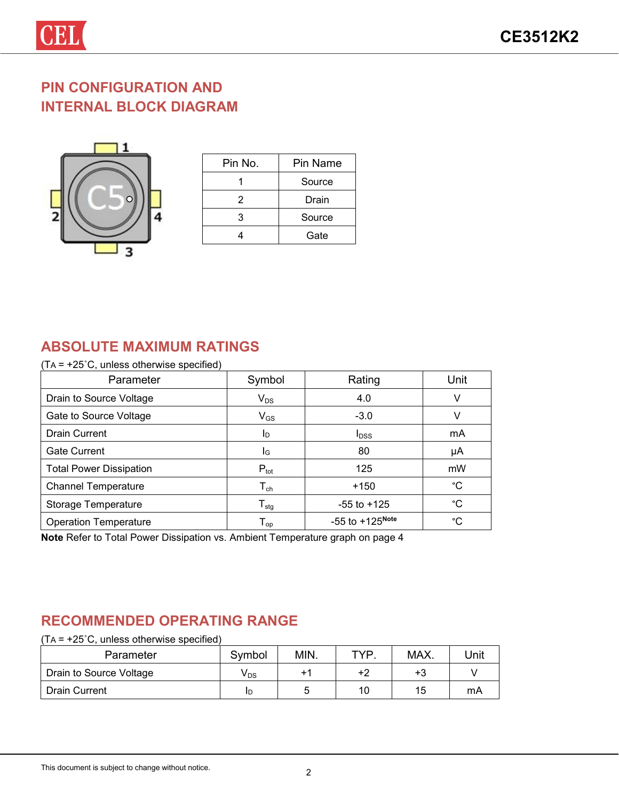# **PIN CONFIGURATION AND INTERNAL BLOCK DIAGRAM**



| Pin No. | Pin Name |
|---------|----------|
|         | Source   |
| 2       | Drain    |
| 3       | Source   |
|         | Gate     |

# **ABSOLUTE MAXIMUM RATINGS**

#### (TA = +25˚C, unless otherwise specified)

| Parameter                      | Symbol                       | Rating                        | Unit |
|--------------------------------|------------------------------|-------------------------------|------|
| Drain to Source Voltage        | $V_{DS}$                     | 4.0                           | v    |
| Gate to Source Voltage         | $V_{GS}$                     | $-3.0$                        | v    |
| <b>Drain Current</b>           | ID.                          | <b>I</b> <sub>DSS</sub>       | mA   |
| <b>Gate Current</b>            | l <sub>G</sub>               | 80                            | μA   |
| <b>Total Power Dissipation</b> | $P_{\text{tot}}$             | 125                           | mW   |
| <b>Channel Temperature</b>     | ${\mathsf T}_{\mathsf{ch}}$  | $+150$                        | °C   |
| Storage Temperature            | ${\mathsf T}_{\textsf{stg}}$ | $-55$ to $+125$               | °C   |
| <b>Operation Temperature</b>   | ${\mathsf T}_{\textsf{op}}$  | $-55$ to $+125^{\text{Note}}$ | °C.  |

**Note** Refer to Total Power Dissipation vs. Ambient Temperature graph on page 4

# **RECOMMENDED OPERATING RANGE**

| $(TA = +25^{\circ}C,$ unless otherwise specified) |                 |      |     |      |      |
|---------------------------------------------------|-----------------|------|-----|------|------|
| Parameter                                         | Symbol          | MIN. | TYP | MAX. | Unit |
| Drain to Source Voltage                           | V <sub>DS</sub> |      | +2  | +3   |      |
| <b>Drain Current</b>                              | ID              |      | 10  | 15   | mA   |

#### This document is subject to change without notice.<br>
2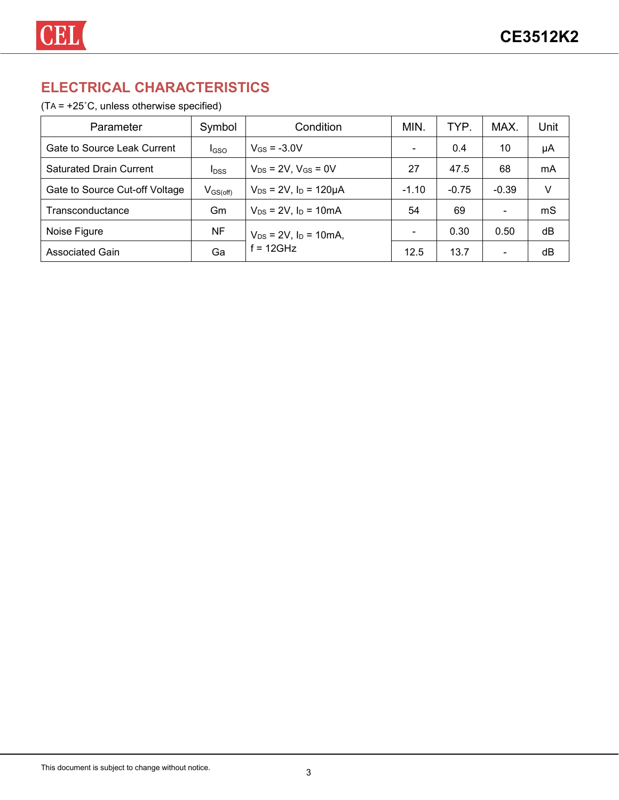# **ELECTRICAL CHARACTERISTICS**

#### (TA = +25˚C, unless otherwise specified)

| Parameter                      | Symbol           | Condition                         | MIN.    | TYP.    | MAX.                     | Jnit |
|--------------------------------|------------------|-----------------------------------|---------|---------|--------------------------|------|
| Gate to Source Leak Current    | <b>I</b> GSO     | $V_{GS} = -3.0V$                  |         | 0.4     | 10                       | μA   |
| <b>Saturated Drain Current</b> | $I_{\text{DSS}}$ | $V_{DS}$ = 2V, $V_{GS}$ = 0V      | 27      | 47.5    | 68                       | mA   |
| Gate to Source Cut-off Voltage | $V_{GS(off)}$    | $V_{DS} = 2V$ , $I_D = 120 \mu A$ | $-1.10$ | $-0.75$ | $-0.39$                  | V    |
| Transconductance               | Gm               | $V_{DS} = 2V$ , $I_D = 10mA$      | 54      | 69      | $\overline{\phantom{0}}$ | mS   |
| Noise Figure                   | NF               | $V_{DS} = 2V$ , $I_D = 10mA$ ,    |         | 0.30    | 0.50                     | dB   |
| <b>Associated Gain</b>         | Ga               | $f = 12$ GHz                      | 12.5    | 13.7    |                          | dB   |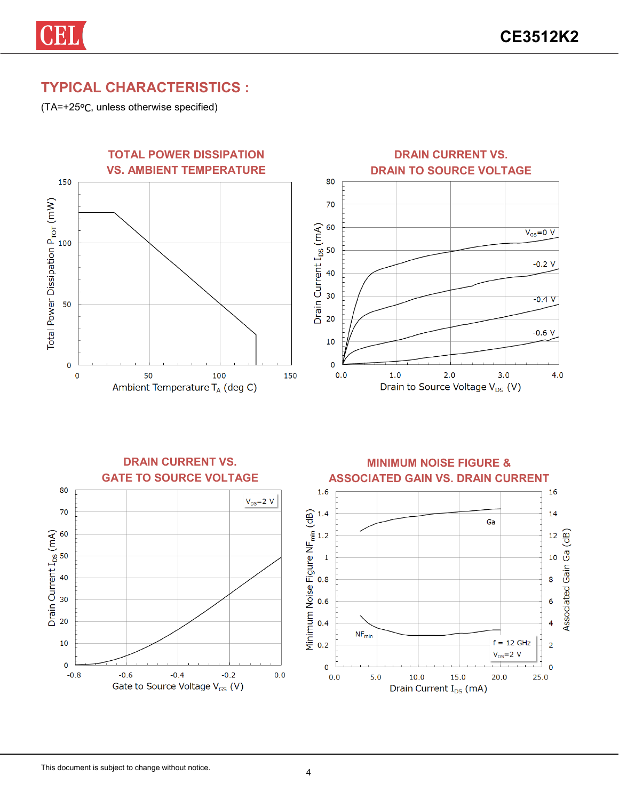

(TA=+25℃, unless otherwise specified)

CEI







 $\overline{2}$ 

 $\overline{0}$ 

 $25.0$ 

**MINIMUM NOISE FIGURE &** 



 $10.0$ 

15.0

Drain Current I<sub>DS</sub> (mA)

 $20.0$ 

 $\mathbf 0$ 

 $0.0$ 

 $5.0$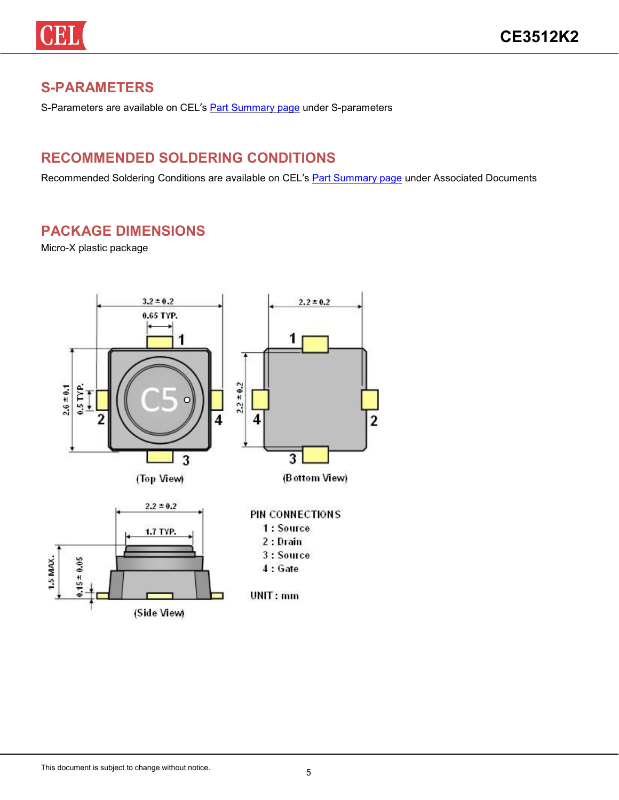# **S-PARAMETERS**

S-Parameters are available on CEL's Part Summary page under S-parameters

# **RECOMMENDED SOLDERING CONDITIONS**

Recommended Soldering Conditions are available on CEL's **Part Summary page under Associated Documents** 

# **PACKAGE DIMENSIONS**

Micro-X plastic package

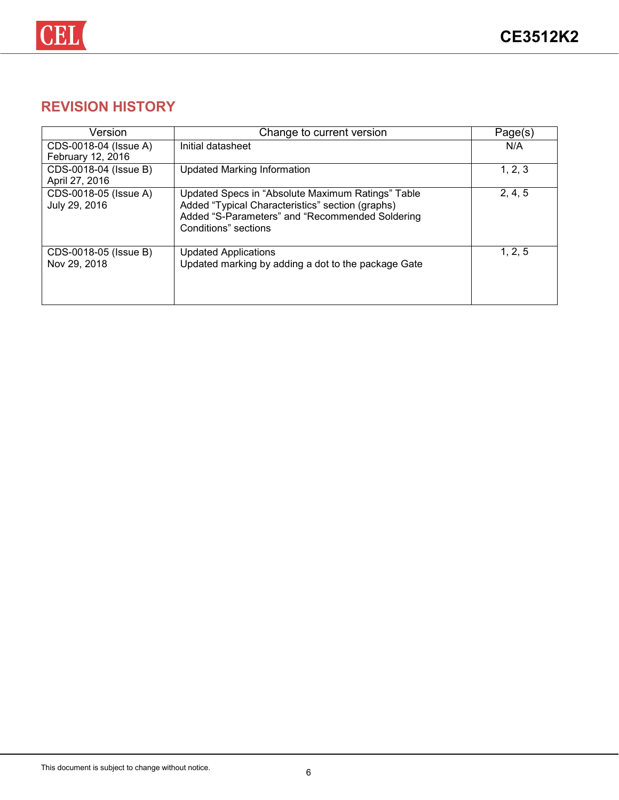

# **REVISION HISTORY**

| Version                                    | Change to current version                                                                                                                                                        | Page(s) |
|--------------------------------------------|----------------------------------------------------------------------------------------------------------------------------------------------------------------------------------|---------|
| CDS-0018-04 (Issue A)<br>February 12, 2016 | Initial datasheet                                                                                                                                                                | N/A     |
| CDS-0018-04 (Issue B)<br>April 27, 2016    | <b>Updated Marking Information</b>                                                                                                                                               | 1, 2, 3 |
| CDS-0018-05 (Issue A)<br>July 29, 2016     | Updated Specs in "Absolute Maximum Ratings" Table<br>Added "Typical Characteristics" section (graphs)<br>Added "S-Parameters" and "Recommended Soldering<br>Conditions" sections | 2, 4, 5 |
| CDS-0018-05 (Issue B)<br>Nov 29, 2018      | <b>Updated Applications</b><br>Updated marking by adding a dot to the package Gate                                                                                               | 1, 2, 5 |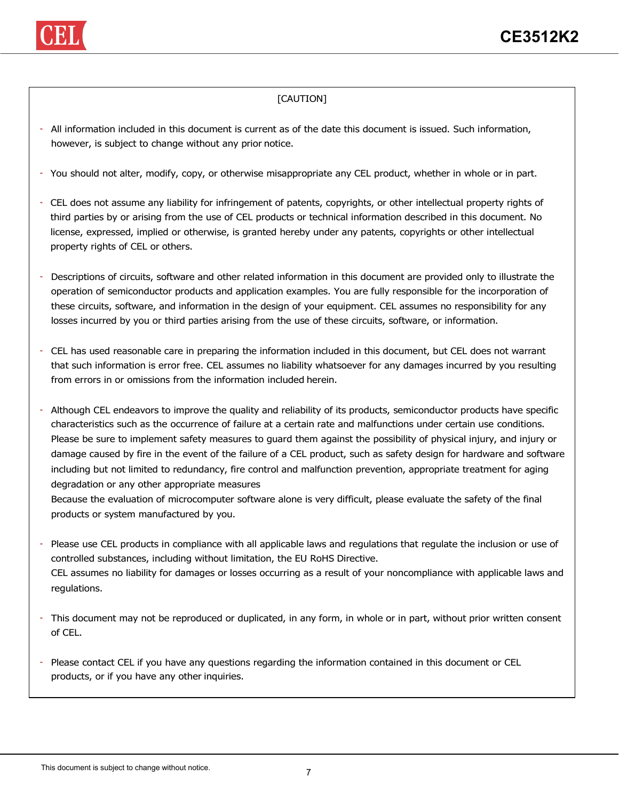

#### [CAUTION]

- All information included in this document is current as of the date this document is issued. Such information, however, is subject to change without any prior notice.
- You should not alter, modify, copy, or otherwise misappropriate any CEL product, whether in whole or in part.
- CEL does not assume any liability for infringement of patents, copyrights, or other intellectual property rights of third parties by or arising from the use of CEL products or technical information described in this document. No license, expressed, implied or otherwise, is granted hereby under any patents, copyrights or other intellectual property rights of CEL or others.
- Descriptions of circuits, software and other related information in this document are provided only to illustrate the operation of semiconductor products and application examples. You are fully responsible for the incorporation of these circuits, software, and information in the design of your equipment. CEL assumes no responsibility for any losses incurred by you or third parties arising from the use of these circuits, software, or information.
- CEL has used reasonable care in preparing the information included in this document, but CEL does not warrant that such information is error free. CEL assumes no liability whatsoever for any damages incurred by you resulting from errors in or omissions from the information included herein.
- Although CEL endeavors to improve the quality and reliability of its products, semiconductor products have specific characteristics such as the occurrence of failure at a certain rate and malfunctions under certain use conditions. Please be sure to implement safety measures to guard them against the possibility of physical injury, and injury or damage caused by fire in the event of the failure of a CEL product, such as safety design for hardware and software including but not limited to redundancy, fire control and malfunction prevention, appropriate treatment for aging degradation or any other appropriate measures

Because the evaluation of microcomputer software alone is very difficult, please evaluate the safety of the final products or system manufactured by you.

- Please use CEL products in compliance with all applicable laws and regulations that regulate the inclusion or use of controlled substances, including without limitation, the EU RoHS Directive. CEL assumes no liability for damages or losses occurring as a result of your noncompliance with applicable laws and regulations.
- This document may not be reproduced or duplicated, in any form, in whole or in part, without prior written consent of CEL.
- Please contact CEL if you have any questions regarding the information contained in this document or CEL products, or if you have any other inquiries.